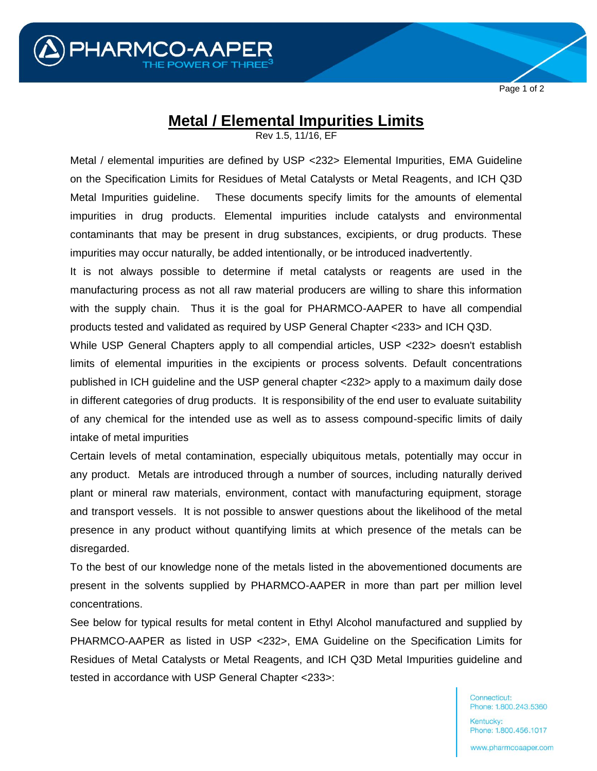

Page 1 of 2

## **Metal / Elemental Impurities Limits**

Rev 1.5, 11/16, EF

Metal / elemental impurities are defined by USP <232> Elemental Impurities, EMA Guideline on the Specification Limits for Residues of Metal Catalysts or Metal Reagents, and ICH Q3D Metal Impurities guideline. These documents specify limits for the amounts of elemental impurities in drug products. Elemental impurities include catalysts and environmental contaminants that may be present in drug substances, excipients, or drug products. These impurities may occur naturally, be added intentionally, or be introduced inadvertently.

It is not always possible to determine if metal catalysts or reagents are used in the manufacturing process as not all raw material producers are willing to share this information with the supply chain. Thus it is the goal for PHARMCO-AAPER to have all compendial products tested and validated as required by USP General Chapter <233> and ICH Q3D.

While USP General Chapters apply to all compendial articles, USP <232> doesn't establish limits of elemental impurities in the excipients or process solvents. Default concentrations published in ICH guideline and the USP general chapter <232> apply to a maximum daily dose in different categories of drug products. It is responsibility of the end user to evaluate suitability of any chemical for the intended use as well as to assess compound-specific limits of daily intake of metal impurities

Certain levels of metal contamination, especially ubiquitous metals, potentially may occur in any product. Metals are introduced through a number of sources, including naturally derived plant or mineral raw materials, environment, contact with manufacturing equipment, storage and transport vessels. It is not possible to answer questions about the likelihood of the metal presence in any product without quantifying limits at which presence of the metals can be disregarded.

To the best of our knowledge none of the metals listed in the abovementioned documents are present in the solvents supplied by PHARMCO-AAPER in more than part per million level concentrations.

See below for typical results for metal content in Ethyl Alcohol manufactured and supplied by PHARMCO-AAPER as listed in USP <232>, EMA Guideline on the Specification Limits for Residues of Metal Catalysts or Metal Reagents, and ICH Q3D Metal Impurities guideline and tested in accordance with USP General Chapter <233>:

> Connecticut: Phone: 1.800.243.5360

> Kentucky: Phone: 1.800.456.1017